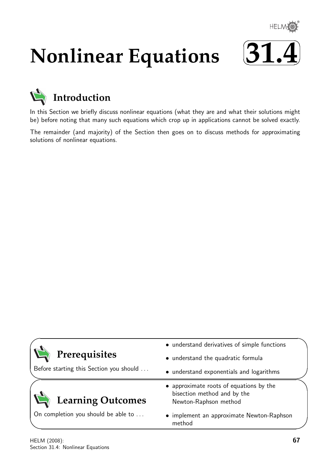

# **Nonlinear Equations**





In this Section we briefly discuss nonlinear equations (what they are and what their solutions might be) before noting that many such equations which crop up in applications cannot be solved exactly.

The remainder (and majority) of the Section then goes on to discuss methods for approximating solutions of nonlinear equations.

|                                         | • understand derivatives of simple functions                                                    |  |
|-----------------------------------------|-------------------------------------------------------------------------------------------------|--|
| Prerequisites                           | • understand the quadratic formula                                                              |  |
| Before starting this Section you should | • understand exponentials and logarithms                                                        |  |
| <b>Learning Outcomes</b>                | • approximate roots of equations by the<br>bisection method and by the<br>Newton-Raphson method |  |
| On completion you should be able to     | • implement an approximate Newton-Raphson<br>method                                             |  |

 $\overline{\phantom{0}}$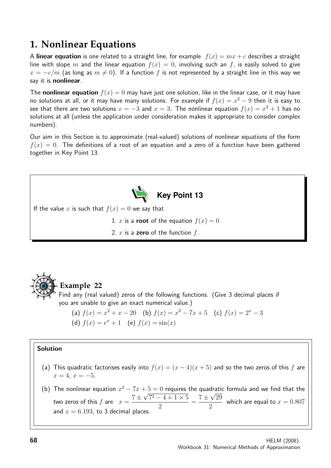# **1. Nonlinear Equations**

A linear equation is one related to a straight line, for example  $f(x) = mx + c$  describes a straight line with slope m and the linear equation  $f(x) = 0$ , involving such an f, is easily solved to give  $x = -c/m$  (as long as  $m \neq 0$ ). If a function f is not represented by a straight line in this way we say it is nonlinear.

The **nonlinear equation**  $f(x) = 0$  may have just one solution, like in the linear case, or it may have no solutions at all, or it may have many solutions. For example if  $f(x) = x^2 - 9$  then it is easy to see that there are two solutions  $x=-3$  and  $x=3$ . The nonlinear equation  $f(x)=x^2+1$  has no solutions at all (unless the application under consideration makes it appropriate to consider complex numbers).

Our aim in this Section is to approximate (real-valued) solutions of nonlinear equations of the form  $f(x) = 0$ . The definitions of a root of an equation and a zero of a function have been gathered together in Key Point 13.





# **Example 22**

Find any (real valued) zeros of the following functions. (Give 3 decimal places if you are unable to give an exact numerical value.)

(a)  $f(x) = x^2 + x - 20$  (b)  $f(x) = x^2 - 7x + 5$  (c)  $f(x) = 2^x - 3$ (d)  $f(x) = e^x + 1$  (e)  $f(x) = \sin(x)$ 

#### Solution

- (a) This quadratic factorises easily into  $f(x) = (x-4)(x+5)$  and so the two zeros of this f are  $x = 4, x = -5.$
- (b) The nonlinear equation  $x^2 7x + 5 = 0$  requires the quadratic formula and we find that the two zeros of this  $f$  are  $x =$  $7 +$ √  $7^2 - 4 \times 1 \times 5$ 2 =  $7\,\pm$ √ 29 2 which are equal to  $x = 0.807$ and  $x = 6.193$ , to 3 decimal places.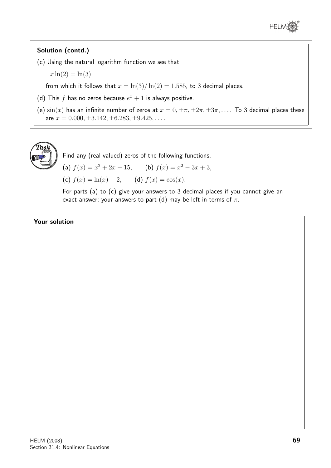

### Solution (contd.)

- (c) Using the natural logarithm function we see that
	- $x \ln(2) = \ln(3)$

from which it follows that  $x = \ln(3)/\ln(2) = 1.585$ , to 3 decimal places.

- (d) This f has no zeros because  $e^x + 1$  is always positive.
- (e)  $\sin(x)$  has an infinite number of zeros at  $x = 0, \pm \pi, \pm 2\pi, \pm 3\pi, \ldots$  To 3 decimal places these are  $x = 0.000, \pm 3.142, \pm 6.283, \pm 9.425, \ldots$



Find any (real valued) zeros of the following functions.

(a)  $f(x) = x^2 + 2x - 15$ , (b)  $f(x) = x^2 - 3x + 3$ ,

(c)  $f(x) = \ln(x) - 2$ , (d)  $f(x) = \cos(x)$ .

For parts (a) to (c) give your answers to 3 decimal places if you cannot give an exact answer; your answers to part (d) may be left in terms of  $\pi$ .

#### Your solution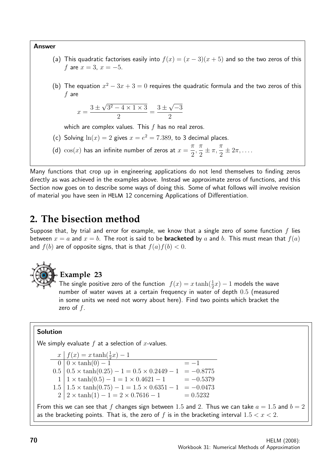#### Answer

- (a) This quadratic factorises easily into  $f(x) = (x 3)(x + 5)$  and so the two zeros of this f are  $x = 3$ ,  $x = -5$ .
- (b) The equation  $x^2 3x + 3 = 0$  requires the quadratic formula and the two zeros of this f are

$$
x = \frac{3 \pm \sqrt{3^2 - 4 \times 1 \times 3}}{2} = \frac{3 \pm \sqrt{-3}}{2}
$$

which are complex values. This  $f$  has no real zeros.

- (c) Solving  $ln(x) = 2$  gives  $x = e^2 = 7.389$ , to 3 decimal places.
- (d)  $\cos(x)$  has an infinite number of zeros at  $x =$  $\pi$ 2 ,  $\pi$ 2  $\pm \pi, \frac{\pi}{2}$ 2  $\pm 2\pi, \ldots$

Many functions that crop up in engineering applications do not lend themselves to finding zeros directly as was achieved in the examples above. Instead we approximate zeros of functions, and this Section now goes on to describe some ways of doing this. Some of what follows will involve revision of material you have seen in 12 concerning Applications of Differentiation.

# **2. The bisection method**

Suppose that, by trial and error for example, we know that a single zero of some function  $f$  lies between  $x = a$  and  $x = b$ . The root is said to be **bracketed** by a and b. This must mean that  $f(a)$ and  $f(b)$  are of opposite signs, that is that  $f(a)f(b) < 0$ .



# **Example 23**

The single positive zero of the function  $f(x) = x \tanh(\frac{1}{2}x) - 1$  models the wave number of water waves at a certain frequency in water of depth 0.5 (measured in some units we need not worry about here). Find two points which bracket the zero of  $f$ .

#### Solution

We simply evaluate  $f$  at a selection of  $x$ -values.

 $x \mid f(x) = x \tanh(\frac{1}{2}x) - 1$  $0 | 0 \times \tanh(0) - 1$  = -1  $0.5 \mid 0.5 \times \tanh(0.25) - 1 = 0.5 \times 0.2449 - 1 = -0.8775$  $1 | 1 \times \tanh(0.5) - 1 = 1 \times 0.4621 - 1 = -0.5379$  $1.5 \mid 1.5 \times \tanh(0.75) - 1 = 1.5 \times 0.6351 - 1 = -0.0473$  $2 \mid 2 \times \tanh(1) - 1 = 2 \times 0.7616 - 1 = 0.5232$ 

From this we can see that f changes sign between 1.5 and 2. Thus we can take  $a = 1.5$  and  $b = 2$ as the bracketing points. That is, the zero of  $f$  is in the bracketing interval  $1.5 < x < 2$ .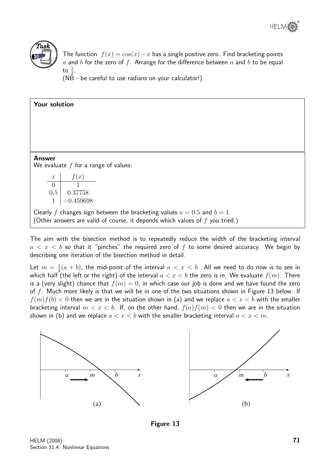

The function  $f(x) = \cos(x) - x$  has a single positive zero. Find bracketing points  $a$  and  $b$  for the zero of  $f$ . Arrange for the difference between  $a$  and  $b$  to be equal to  $\frac{1}{2}$ .

(NB - be careful to use radians on your calculator!)

| <b>Answer</b><br>We evaluate $f$ for a range of values:                                                                                                        |
|----------------------------------------------------------------------------------------------------------------------------------------------------------------|
| f(x)<br>$\boldsymbol{x}$                                                                                                                                       |
| $\theta$                                                                                                                                                       |
| 0.5<br>0.37758                                                                                                                                                 |
| $-0.459698$                                                                                                                                                    |
| Clearly f changes sign between the bracketing values $a = 0.5$ and $b = 1$ .<br>(Other answers are valid of course, it depends which values of $f$ you tried.) |

The aim with the bisection method is to repeatedly reduce the width of the bracketing interval  $a < x < b$  so that it "pinches" the required zero of f to some desired accuracy. We begin by describing one iteration of the bisection method in detail.

Let  $m = \frac{1}{2}$  $\frac{1}{2}(a+b)$ , the mid-point of the interval  $a < x < b$ . All we need to do now is to see in which half (the left or the right) of the interval  $a < x < b$  the zero is in. We evaluate  $f(m)$ . There is a (very slight) chance that  $f(m) = 0$ , in which case our job is done and we have found the zero of  $f$ . Much more likely is that we will be in one of the two situations shown in Figure 13 below. If  $f(m)f(b) < 0$  then we are in the situation shown in (a) and we replace  $a < x < b$  with the smaller bracketing interval  $m < x < b$ . If, on the other hand,  $f(a)f(m) < 0$  then we are in the situation shown in (b) and we replace  $a < x < b$  with the smaller bracketing interval  $a < x < m$ .



Figure 13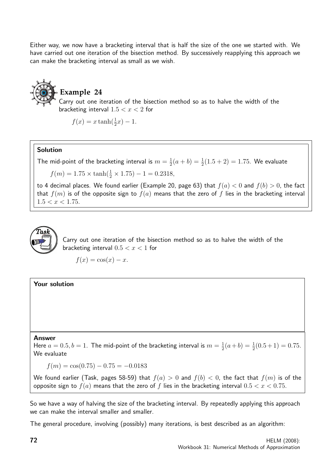Either way, we now have a bracketing interval that is half the size of the one we started with. We have carried out one iteration of the bisection method. By successively reapplying this approach we can make the bracketing interval as small as we wish.

# **Example 24**

Carry out one iteration of the bisection method so as to halve the width of the bracketing interval  $1.5 < x < 2$  for

 $f(x) = x \tanh(\frac{1}{2}x) - 1.$ 

#### Solution

The mid-point of the bracketing interval is  $m=\frac{1}{2}$  $\frac{1}{2}(a + b) = \frac{1}{2}(1.5 + 2) = 1.75$ . We evaluate

 $f(m) = 1.75 \times \tanh(\frac{1}{2} \times 1.75) - 1 = 0.2318,$ 

to 4 decimal places. We found earlier (Example 20, page 63) that  $f(a) < 0$  and  $f(b) > 0$ , the fact that  $f(m)$  is of the opposite sign to  $f(a)$  means that the zero of f lies in the bracketing interval  $1.5 < x < 1.75$ .



Carry out one iteration of the bisection method so as to halve the width of the bracketing interval  $0.5 < x < 1$  for

 $f(x) = \cos(x) - x.$ 

#### Your solution

#### Answer

Here  $a = 0.5, b = 1$ . The mid-point of the bracketing interval is  $m = \frac{1}{2}$  $\frac{1}{2}(a+b) = \frac{1}{2}(0.5+1) = 0.75.$ We evaluate

 $f(m) = \cos(0.75) - 0.75 = -0.0183$ 

We found earlier (Task, pages 58-59) that  $f(a) > 0$  and  $f(b) < 0$ , the fact that  $f(m)$  is of the opposite sign to  $f(a)$  means that the zero of f lies in the bracketing interval  $0.5 < x < 0.75$ .

So we have a way of halving the size of the bracketing interval. By repeatedly applying this approach we can make the interval smaller and smaller.

The general procedure, involving (possibly) many iterations, is best described as an algorithm: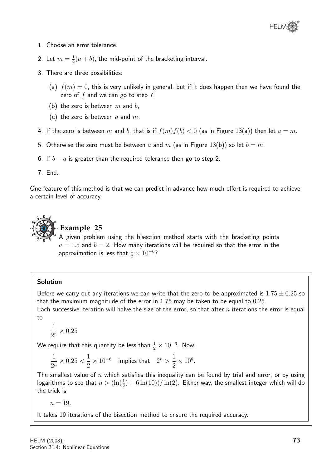

- 1. Choose an error tolerance.
- 2. Let  $m = \frac{1}{2}$  $\frac{1}{2}(a+b)$ , the mid-point of the bracketing interval.
- 3. There are three possibilities:
	- (a)  $f(m) = 0$ , this is very unlikely in general, but if it does happen then we have found the zero of  $f$  and we can go to step 7,
	- (b) the zero is between  $m$  and  $b$ ,
	- (c) the zero is between a and  $m$ .
- 4. If the zero is between m and b, that is if  $f(m)f(b) < 0$  (as in Figure 13(a)) then let  $a = m$ .
- 5. Otherwise the zero must be between a and m (as in Figure 13(b)) so let  $b = m$ .
- 6. If  $b a$  is greater than the required tolerance then go to step 2.
- 7. End.

One feature of this method is that we can predict in advance how much effort is required to achieve a certain level of accuracy.



#### **Example 25**

A given problem using the bisection method starts with the bracketing points  $a = 1.5$  and  $b = 2$ . How many iterations will be required so that the error in the approximation is less that  $\frac{1}{2} \times 10^{-6}$ ?

#### Solution

Before we carry out any iterations we can write that the zero to be approximated is  $1.75 \pm 0.25$  so that the maximum magnitude of the error in 1.75 may be taken to be equal to 0.25. Each successive iteration will halve the size of the error, so that after  $n$  iterations the error is equal

to

$$
\frac{1}{2^n} \times 0.25
$$

We require that this quantity be less than  $\frac{1}{2} \times 10^{-6}.$  Now,

$$
\frac{1}{2^n}\times 0.25<\frac{1}{2}\times 10^{-6}\quad\text{implies that}\quad 2^n>\frac{1}{2}\times 10^6.
$$

The smallest value of n which satisfies this inequality can be found by trial and error, or by using logarithms to see that  $n>(\ln(\frac{1}{2})+6\ln(10))/\ln(2)$ . Either way, the smallest integer which will do the trick is

 $n = 19$ .

It takes 19 iterations of the bisection method to ensure the required accuracy.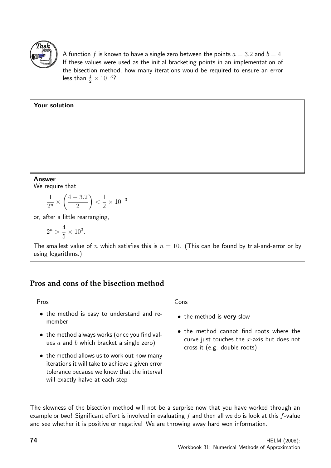

A function f is known to have a single zero between the points  $a = 3.2$  and  $b = 4$ . If these values were used as the initial bracketing points in an implementation of the bisection method, how many iterations would be required to ensure an error less than  $\frac{1}{2} \times 10^{-3}$ ?

#### Your solution

#### Answer

We require that

$$
\frac{1}{2^n} \times \left(\frac{4-3.2}{2}\right) < \frac{1}{2} \times 10^{-3}
$$

or, after a little rearranging,

$$
2^n > \frac{4}{5} \times 10^3.
$$

The smallest value of n which satisfies this is  $n = 10$ . (This can be found by trial-and-error or by using logarithms.)

## **Pros and cons of the bisection method**

#### Pros

- the method is easy to understand and remember
- the method always works (once you find values  $a$  and  $b$  which bracket a single zero)
- the method allows us to work out how many iterations it will take to achieve a given error tolerance because we know that the interval will exactly halve at each step

#### Cons

- the method is **very** slow
- the method cannot find roots where the curve just touches the  $x$ -axis but does not cross it (e.g. double roots)

The slowness of the bisection method will not be a surprise now that you have worked through an example or two! Significant effort is involved in evaluating  $f$  and then all we do is look at this  $f$ -value and see whether it is positive or negative! We are throwing away hard won information.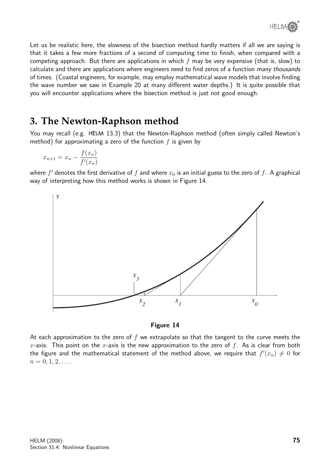Let us be realistic here, the slowness of the bisection method hardly matters if all we are saying is that it takes a few more fractions of a second of computing time to finish, when compared with a competing approach. But there are applications in which  $f$  may be very expensive (that is, slow) to calculate and there are applications where engineers need to find zeros of a function many thousands of times. (Coastal engineers, for example, may employ mathematical wave models that involve finding the wave number we saw in Example 20 at many different water depths.) It is quite possible that you will encounter applications where the bisection method is just not good enough.

# **3. The Newton-Raphson method**

You may recall (e.g. HELM 13.3) that the Newton-Raphson method (often simply called Newton's method) for approximating a zero of the function  $f$  is given by

$$
x_{n+1} = x_n - \frac{f(x_n)}{f'(x_n)}
$$

where  $f'$  denotes the first derivative of  $f$  and where  $x_0$  is an initial guess to the zero of  $f$ . A graphical way of interpreting how this method works is shown in Figure 14.



#### Figure 14

At each approximation to the zero of  $f$  we extrapolate so that the tangent to the curve meets the x-axis. This point on the x-axis is the new approximation to the zero of  $f$ . As is clear from both the figure and the mathematical statement of the method above, we require that  $f'(x_n) \neq 0$  for  $n = 0, 1, 2, \ldots$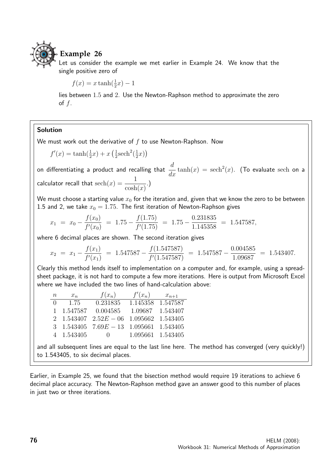

### **Example 26**

Let us consider the example we met earlier in Example 24. We know that the single positive zero of

 $f(x) = x \tanh(\frac{1}{2}x) - 1$ 

lies between 1.5 and 2. Use the Newton-Raphson method to approximate the zero of  $f$ .

#### Solution

We must work out the derivative of  $f$  to use Newton-Raphson. Now

 $f'(x) = \tanh(\frac{1}{2}x) + x(\frac{1}{2})$  $\frac{1}{2}$ sech<sup>2</sup> $(\frac{1}{2})$  $(\frac{1}{2}x)$ 

on differentiating a product and recalling that  $\frac{d}{dx}\tanh(x) = {\rm sech}^2(x)$ . (To evaluate  ${\rm sech}$  on a calculator recall that  ${\rm sech}(x) = \frac{1}{1+x}$  $cosh(x)$ .)

We must choose a starting value  $x_0$  for the iteration and, given that we know the zero to be between 1.5 and 2, we take  $x_0 = 1.75$ . The first iteration of Newton-Raphson gives

$$
x_1 = x_0 - \frac{f(x_0)}{f'(x_0)} = 1.75 - \frac{f(1.75)}{f'(1.75)} = 1.75 - \frac{0.231835}{1.145358} = 1.547587,
$$

where 6 decimal places are shown. The second iteration gives

$$
x_2 = x_1 - \frac{f(x_1)}{f'(x_1)} = 1.547587 - \frac{f(1.547587)}{f'(1.547587)} = 1.547587 - \frac{0.004585}{1.09687} = 1.543407.
$$

Clearly this method lends itself to implementation on a computer and, for example, using a spreadsheet package, it is not hard to compute a few more iterations. Here is output from Microsoft Excel where we have included the two lines of hand-calculation above:

| $\, n$ | $x_n$      | $f(x_n)$                             | $f'(x_n)$         | $x_{n+1}$ |
|--------|------------|--------------------------------------|-------------------|-----------|
| $\cup$ | 1.75       | 0.231835                             | 1.145358          | 1.547587  |
|        | 1.547587   | 0.004585                             | 1.09687           | 1.543407  |
|        | 2 1.543407 | $2.52E - 06$ 1.095662                |                   | 1.543405  |
|        |            | 3 $1.543405$ $7.69E - 13$ $1.095661$ |                   | 1.543405  |
|        | 4 1.543405 | $\bigcap$                            | 1.095661 1.543405 |           |

and all subsequent lines are equal to the last line here. The method has converged (very quickly!) to 1.543405, to six decimal places.

Earlier, in Example 25, we found that the bisection method would require 19 iterations to achieve 6 decimal place accuracy. The Newton-Raphson method gave an answer good to this number of places in just two or three iterations.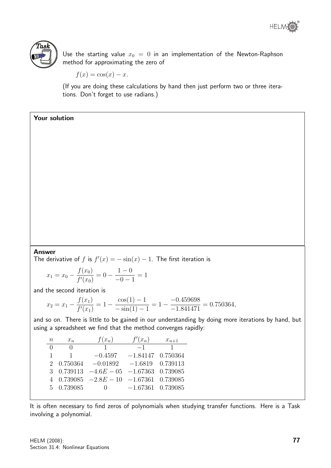



Use the starting value  $x_0 = 0$  in an implementation of the Newton-Raphson method for approximating the zero of

$$
f(x) = \cos(x) - x.
$$

(If you are doing these calculations by hand then just perform two or three iterations. Don't forget to use radians.)

#### Your solution

#### Answer

The derivative of f is  $f'(x) = -\sin(x) - 1$ . The first iteration is

$$
x_1 = x_0 - \frac{f(x_0)}{f'(x_0)} = 0 - \frac{1 - 0}{-0 - 1} = 1
$$

and the second iteration is

$$
x_2 = x_1 - \frac{f(x_1)}{f'(x_1)} = 1 - \frac{\cos(1) - 1}{-\sin(1) - 1} = 1 - \frac{-0.459698}{-1.841471} = 0.750364,
$$

and so on. There is little to be gained in our understanding by doing more iterations by hand, but using a spreadsheet we find that the method converges rapidly:

| $\,n$            | $x_n$        | $f(x_n)$                                                    | $f'(x_n)$           | $x_{n+1}$ |
|------------------|--------------|-------------------------------------------------------------|---------------------|-----------|
| $\left( \right)$ | $\cup$       | $\overline{1}$                                              | $-1$                | 1         |
| 1                | $\mathbf{1}$ | $-0.4597$                                                   | $-1.84147$ 0.750364 |           |
|                  | 2 0.750364   | $-0.01892$                                                  | $-1.6819$ 0.739113  |           |
|                  |              | 3 $0.739113 -4.6E - 05 -1.67363 0.739085$                   |                     |           |
|                  |              | $4\quad 0.739085\quad -2.8E-10\quad -1.67361\quad 0.739085$ |                     |           |
|                  | 5 0.739085   | $\bigcup$                                                   | $-1.67361$ 0.739085 |           |
|                  |              |                                                             |                     |           |

It is often necessary to find zeros of polynomials when studying transfer functions. Here is a Task involving a polynomial.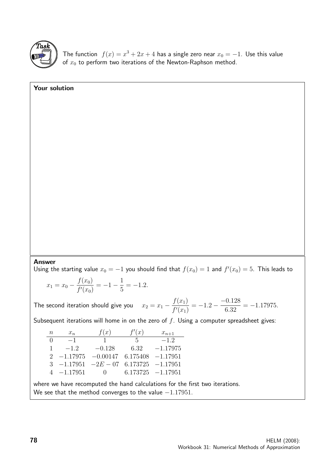

Your solution

The function  $f(x) = x^3 + 2x + 4$  has a single zero near  $x_0 = -1$ . Use this value of  $x_0$  to perform two iterations of the Newton-Raphson method.

#### Answer

Using the starting value  $x_0 = -1$  you should find that  $f(x_0) = 1$  and  $f'(x_0) = 5$ . This leads to

$$
x_1 = x_0 - \frac{f(x_0)}{f'(x_0)} = -1 - \frac{1}{5} = -1.2.
$$

The second iteration should give you  $x^2 + y^2 = 0$  $f(x_1)$  $f'(x_1)$  $=-1.2 -$ −0.128 6.32  $=-1.17975.$ 

Subsequent iterations will home in on the zero of  $f$ . Using a computer spreadsheet gives:

| $\, n$        | $x_n$        | f(x)       | f'(x)    | $x_{n+1}$            |
|---------------|--------------|------------|----------|----------------------|
| $\Omega$      | $-1$         | Ι.         | $-5$     | $-1.2$               |
| 1             | $-1.2$       | $-0.128$   | 6.32     | $-1.17975$           |
|               | $-1.17975$   | $-0.00147$ | 6.175408 | $-1.17951$           |
| $\mathcal{R}$ | $-1.17951$   | $-2E - 07$ |          | $6.173725 -1.17951$  |
|               | $4 -1.17951$ | $\bigcap$  |          | $6.173725 - 1.17951$ |

where we have recomputed the hand calculations for the first two iterations. We see that the method converges to the value  $-1.17951$ .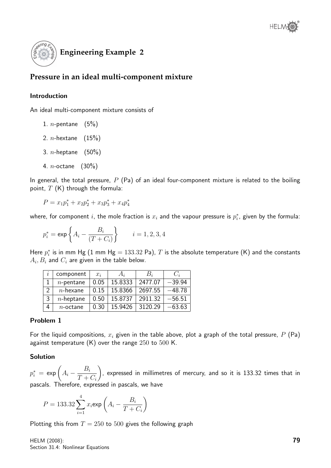

# **Pressure in an ideal multi-component mixture**

#### Introduction

An ideal multi-component mixture consists of

- 1. *n*-pentane  $(5%)$
- 2. *n*-hextane  $(15%)$
- 3. *n*-heptane  $(50\%)$
- 4. n-octane (30%)

In general, the total pressure,  $P$  (Pa) of an ideal four-component mixture is related to the boiling point,  $T$  (K) through the formula:

$$
P = x_1 p_1^* + x_2 p_2^* + x_3 p_3^* + x_4 p_4^*
$$

where, for component  $i$ , the mole fraction is  $x_i$  and the vapour pressure is  $p_i^\ast$ , given by the formula:

$$
p_i^*=\exp\left\{A_i-\frac{B_i}{(T+C_i)}\right\}\qquad i=1,2,3,4
$$

Here  $p_i^\ast$  is in mm Hg  $(1$  mm Hg  $= 133.32$  Pa),  $T$  is the absolute temperature  $(\mathsf{K})$  and the constants  $A_i,B_i$  and  $C_i$  are given in the table below.

| $\boldsymbol{\eta}$ | component    | $x_i$ | $A_i$   | $B_i$   | $C_i$    |
|---------------------|--------------|-------|---------|---------|----------|
|                     | $n$ -pentane | 0.05  | 15.8333 | 2477.07 | $-39.94$ |
| $\mathcal{P}$       | $n$ -hexane  | 0.15  | 15.8366 | 2697.55 | $-48.78$ |
| 3                   | $n$ -heptane | 0.50  | 15.8737 | 2911.32 | $-56.51$ |
| 4                   | $n$ -octane  | 0.30  | 15.9426 | 3120.29 | $-63.63$ |

#### Problem 1

For the liquid compositions,  $x_i$  given in the table above, plot a graph of the total pressure,  $P$  (Pa) against temperature  $(K)$  over the range  $250$  to  $500$  K.

#### Solution

 $p_i^* \,=\, \exp\bigg( A_i - \frac{B_i}{T} \bigg)$  $T+C_i$  $\setminus$ , expressed in millimetres of mercury, and so it is 133.32 times that in pascals. Therefore, expressed in pascals, we have

$$
P = 133.32 \sum_{i=1}^{4} x_i \exp\left(A_i - \frac{B_i}{T + C_i}\right)
$$

Plotting this from  $T = 250$  to 500 gives the following graph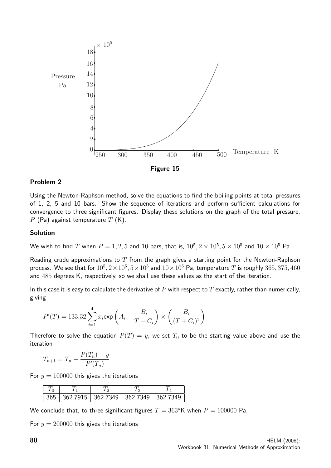

#### Problem 2

Using the Newton-Raphson method, solve the equations to find the boiling points at total pressures of 1, 2, 5 and 10 bars. Show the sequence of iterations and perform sufficient calculations for convergence to three significant figures. Display these solutions on the graph of the total pressure,  $P$  (Pa) against temperature  $T$  (K).

#### Solution

We wish to find  $T$  when  $P=1,2,5$  and  $10$  bars, that is,  $10^5, 2\times10^5, 5\times10^5$  and  $10\times10^5$  Pa.

Reading crude approximations to  $T$  from the graph gives a starting point for the Newton-Raphson process. We see that for  $10^5, 2 \times 10^5, 5 \times 10^5$  and  $10 \times 10^5$  Pa, temperature  $T$  is roughly  $365, 375, 460$ and 485 degrees K, respectively, so we shall use these values as the start of the iteration.

In this case it is easy to calculate the derivative of  $P$  with respect to  $T$  exactly, rather than numerically, giving

$$
P'(T) = 133.32 \sum_{i=1}^{4} x_i \exp\left(A_i - \frac{B_i}{T + C_i}\right) \times \left(\frac{B_i}{(T + C_i)^2}\right)
$$

Therefore to solve the equation  $P(T) = y$ , we set  $T_0$  to be the starting value above and use the iteration

$$
T_{n+1} = T_n - \frac{P(T_n) - y}{P'(T_n)}
$$

For  $y = 100000$  this gives the iterations

|  | 365 362.7915 362.7349 362.7349 362.7349 |  |
|--|-----------------------------------------|--|

We conclude that, to three significant figures  $T = 363^{\circ}K$  when  $P = 100000$  Pa.

For  $y = 200000$  this gives the iterations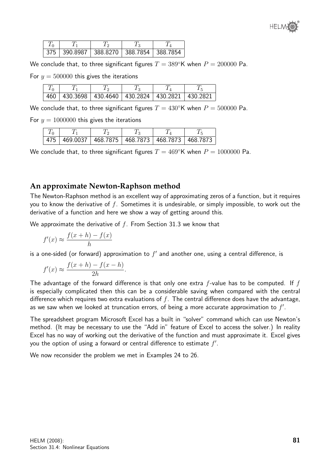

|  | 375   390.8987   388.8270   388.7854   388.7854 |  |
|--|-------------------------------------------------|--|

We conclude that, to three significant figures  $T = 389^{\circ}\text{K}$  when  $P = 200000$  Pa.

For  $y = 500000$  this gives the iterations

| 460 | 430.3698   430.4640   430.2824   430.2821   430.2821 |  |  |
|-----|------------------------------------------------------|--|--|

We conclude that, to three significant figures  $T = 430°$ K when  $P = 500000$  Pa.

For  $y = 1000000$  this gives the iterations

| 475   469.0037   468.7875   468.7873   468.7873   468.7873 |  |  |
|------------------------------------------------------------|--|--|

We conclude that, to three significant figures  $T = 469°$ K when  $P = 1000000$  Pa.

#### **An approximate Newton-Raphson method**

The Newton-Raphson method is an excellent way of approximating zeros of a function, but it requires you to know the derivative of  $f$ . Sometimes it is undesirable, or simply impossible, to work out the derivative of a function and here we show a way of getting around this.

We approximate the derivative of  $f$ . From Section 31.3 we know that

$$
f'(x) \approx \frac{f(x+h) - f(x)}{h}
$$

is a one-sided (or forward) approximation to  $f'$  and another one, using a central difference, is

$$
f'(x) \approx \frac{f(x+h) - f(x-h)}{2h}.
$$

The advantage of the forward difference is that only one extra  $f$ -value has to be computed. If  $f$ is especially complicated then this can be a considerable saving when compared with the central difference which requires two extra evaluations of  $f$ . The central difference does have the advantage, as we saw when we looked at truncation errors, of being a more accurate approximation to  $f'$ .

The spreadsheet program Microsoft Excel has a built in "solver" command which can use Newton's method. (It may be necessary to use the "Add in" feature of Excel to access the solver.) In reality Excel has no way of working out the derivative of the function and must approximate it. Excel gives you the option of using a forward or central difference to estimate  $f'$ .

We now reconsider the problem we met in Examples 24 to 26.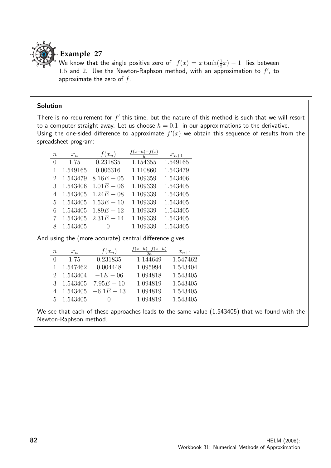

# **Example 27**

We know that the single positive zero of  $f(x) = x \tanh(\frac{1}{2}x) - 1$  lies between 1.5 and 2. Use the Newton-Raphson method, with an approximation to  $f'$ , to approximate the zero of  $f$ .

#### Solution

There is no requirement for  $f'$  this time, but the nature of this method is such that we will resort to a computer straight away. Let us choose  $h = 0.1$  in our approximations to the derivative. Using the one-sided difference to approximate  $f'(x)$  we obtain this sequence of results from the spreadsheet program:

| $\it{n}$         | $x_n$    | $f(x_n)$         | $f(x+h)-f(x)$ | $x_{n+1}$ |
|------------------|----------|------------------|---------------|-----------|
| $\left( \right)$ | 1.75     | 0.231835         | 1.154355      | 1.549165  |
| 1                | 1.549165 | 0.006316         | 1.110860      | 1.543479  |
| 2                | 1.543479 | $8.16E - 05$     | 1.109359      | 1.543406  |
| 3                | 1.543406 | $1.01E - 06$     | 1.109339      | 1.543405  |
| 4                | 1.543405 | $1.24E - 08$     | 1.109339      | 1.543405  |
| 5.               | 1.543405 | $1.53E - 10$     | 1.109339      | 1.543405  |
| 6                | 1.543405 | $1.89E - 12$     | 1.109339      | 1.543405  |
|                  | 1.543405 | $2.31E - 14$     | 1.109339      | 1.543405  |
| 8                | 1.543405 | $\left( \right)$ | 1.109339      | 1.543405  |

And using the (more accurate) central difference gives

| $\, n$           | $x_n$    | $f(x_n)$         | $f(x+h)-f(x-h)$<br>2h | $x_{n+1}$ |
|------------------|----------|------------------|-----------------------|-----------|
| $\left( \right)$ | 1.75     | 0.231835         | 1.144649              | 1.547462  |
| $\mathbf{1}$     | 1.547462 | 0.004448         | 1.095994              | 1.543404  |
| 2                | 1.543404 | $-1E - 06$       | 1.094818              | 1.543405  |
| 3                | 1.543405 | $7.95E - 10$     | 1.094819              | 1.543405  |
| 4                | 1.543405 | $-6.1E-13$       | 1.094819              | 1.543405  |
| 5                | 1.543405 | $\left( \right)$ | 1.094819              | 1.543405  |

We see that each of these approaches leads to the same value (1.543405) that we found with the Newton-Raphson method.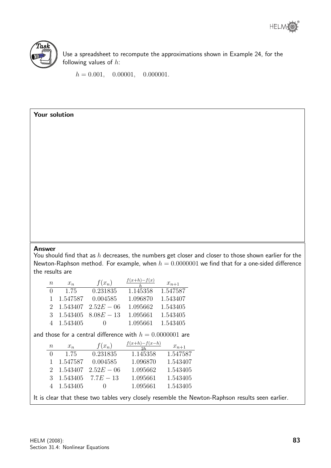



Use a spreadsheet to recompute the approximations shown in Example 24, for the following values of  $h$ :

 $h = 0.001, 0.00001, 0.000001.$ 

#### Your solution

#### Answer

You should find that as  $h$  decreases, the numbers get closer and closer to those shown earlier for the Newton-Raphson method. For example, when  $h = 0.0000001$  we find that for a one-sided difference the results are

|                                                           |                             |          |              | $f(x+h)-f(x)$                   |           |  |  |
|-----------------------------------------------------------|-----------------------------|----------|--------------|---------------------------------|-----------|--|--|
|                                                           | $\,n$                       | $x_n$    | $f(x_n)$     |                                 | $x_{n+1}$ |  |  |
|                                                           | $\overline{0}$              | 1.75     | 0.231835     | 1.145358                        | 1.547587  |  |  |
|                                                           | $\mathbf{1}$                | 1.547587 | 0.004585     | 1.096870                        | 1.543407  |  |  |
|                                                           | $\mathcal{D}_{\mathcal{L}}$ | 1.543407 | $2.52E - 06$ | 1.095662                        | 1.543405  |  |  |
|                                                           | 3                           | 1.543405 | $8.08E - 13$ | 1.095661                        | 1.543405  |  |  |
|                                                           | 4                           | 1.543405 | $\Omega$     | 1.095661                        | 1.543405  |  |  |
| and those for a central difference with $h=0.0000001$ are |                             |          |              |                                 |           |  |  |
|                                                           |                             |          |              |                                 |           |  |  |
|                                                           | $\,n$                       | $x_n$    | $f(x_n)$     | $\frac{f(x+h)-f(x-h)}{h}$<br>2h | $x_{n+1}$ |  |  |
|                                                           | $\theta$                    | 1.75     | 0.231835     | 1.145358                        | 1.547587  |  |  |
|                                                           | $\mathbf{1}$                | 1.547587 | 0.004585     | 1.096870                        | 1.543407  |  |  |
|                                                           | $\mathcal{D}_{\mathcal{L}}$ | 1.543407 | $2.52E - 06$ | 1.095662                        | 1.543405  |  |  |
|                                                           | $\mathcal{S}_{\mathcal{S}}$ | 1.543405 | $7.7E - 13$  | 1.095661                        | 1.543405  |  |  |
|                                                           | 4                           | 1.543405 | $\theta$     | 1.095661                        | 1.543405  |  |  |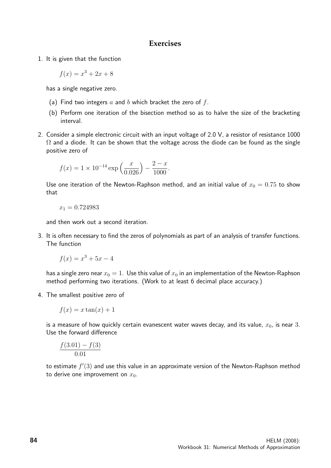#### **Exercises**

1. It is given that the function

$$
f(x) = x^3 + 2x + 8
$$

has a single negative zero.

- (a) Find two integers a and b which bracket the zero of  $f$ .
- (b) Perform one iteration of the bisection method so as to halve the size of the bracketing interval.
- 2. Consider a simple electronic circuit with an input voltage of 2.0 V, a resistor of resistance 1000  $\Omega$  and a diode. It can be shown that the voltage across the diode can be found as the single positive zero of

$$
f(x) = 1 \times 10^{-14} \exp\left(\frac{x}{0.026}\right) - \frac{2 - x}{1000}.
$$

Use one iteration of the Newton-Raphson method, and an initial value of  $x_0 = 0.75$  to show that

$$
x_1 = 0.724983\\
$$

and then work out a second iteration.

3. It is often necessary to find the zeros of polynomials as part of an analysis of transfer functions. The function

$$
f(x) = x^3 + 5x - 4
$$

has a single zero near  $x_0 = 1$ . Use this value of  $x_0$  in an implementation of the Newton-Raphson method performing two iterations. (Work to at least 6 decimal place accuracy.)

4. The smallest positive zero of

$$
f(x) = x \tan(x) + 1
$$

is a measure of how quickly certain evanescent water waves decay, and its value,  $x_0$ , is near 3. Use the forward difference

$$
\frac{f(3.01) - f(3)}{0.01}
$$

to estimate  $f'(3)$  and use this value in an approximate version of the Newton-Raphson method to derive one improvement on  $x_0$ .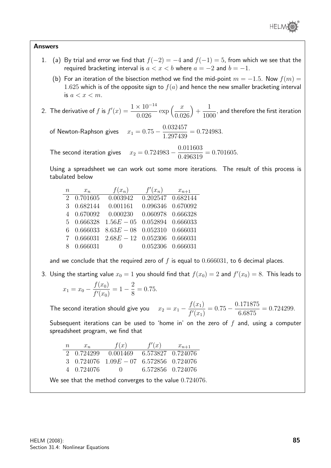

#### Answers

- 1. (a) By trial and error we find that  $f(-2) = -4$  and  $f(-1) = 5$ , from which we see that the required bracketing interval is  $a < x < b$  where  $a = -2$  and  $b = -1$ .
	- (b) For an iteration of the bisection method we find the mid-point  $m = -1.5$ . Now  $f(m) =$ 1.625 which is of the opposite sign to  $f(a)$  and hence the new smaller bracketing interval is  $a < x < m$ .
- 2. The derivative of f is  $f'(x) = \frac{1 \times 10^{-14}}{0.000}$ 0.026  $\exp\left(\frac{x}{2a}\right)$ 0.026  $+$ 1 1000 , and therefore the first iteration

of Newton-Raphson gives  $x_1 = 0.75 - \frac{0.032457}{1.297429}$ 1.297439  $= 0.724983.$ 

The second iteration gives  $x_2 = 0.724983 - \frac{0.011603}{0.406310}$ 0.496319  $= 0.701605.$ 

Using a spreadsheet we can work out some more iterations. The result of this process is tabulated below

| $\, n$ | $x_n$      | $f(x_n)$                           | $f'(x_n)$         | $x_{n+1}$ |
|--------|------------|------------------------------------|-------------------|-----------|
|        | 2 0.701605 | 0.003942                           | 0.202547 0.682144 |           |
| 3      | 0.682144   | 0.001161                           | 0.096346          | 0.670092  |
| 4      | 0.670092   | 0.000230                           | 0.060978          | 0.666328  |
|        | 5 0.666328 | $1.56E - 05$                       | 0.052894          | 0.666033  |
| 6      | 0.666033   | $8.63E - 08$                       | 0.052310          | 0.666031  |
| 7      |            | $0.666031$ $2.68E - 12$ $0.052306$ |                   | 0.666031  |
| 8      | 0.666031   | $\overline{0}$                     | 0.052306          | 0.666031  |

and we conclude that the required zero of f is equal to  $0.666031$ , to 6 decimal places.

3. Using the starting value  $x_0 = 1$  you should find that  $f(x_0) = 2$  and  $f'(x_0) = 8$ . This leads to

$$
x_1 = x_0 - \frac{f(x_0)}{f'(x_0)} = 1 - \frac{2}{8} = 0.75.
$$

The second iteration should give you  $x_2 = x_1 - \frac{f(x_1)}{f(x_2)}$  $f'(x_1)$  $= 0.75 - \frac{0.171875}{c \cos \pi}$ 6.6875  $= 0.724299.$ 

Subsequent iterations can be used to 'home in' on the zero of  $f$  and, using a computer spreadsheet program, we find that

| $n\,$ | $x_n$      | f(x)                                            | f'(x)             | $x_{n+1}$ |
|-------|------------|-------------------------------------------------|-------------------|-----------|
|       | 2 0.724299 | 0.001469                                        | 6.573827 0.724076 |           |
|       |            | 3 $0.724076$ $1.09E - 07$ $6.572856$ $0.724076$ |                   |           |
|       | 4 0.724076 | $\mathbf{U}$                                    | 6.572856 0.724076 |           |

We see that the method converges to the value  $0.724076$ .